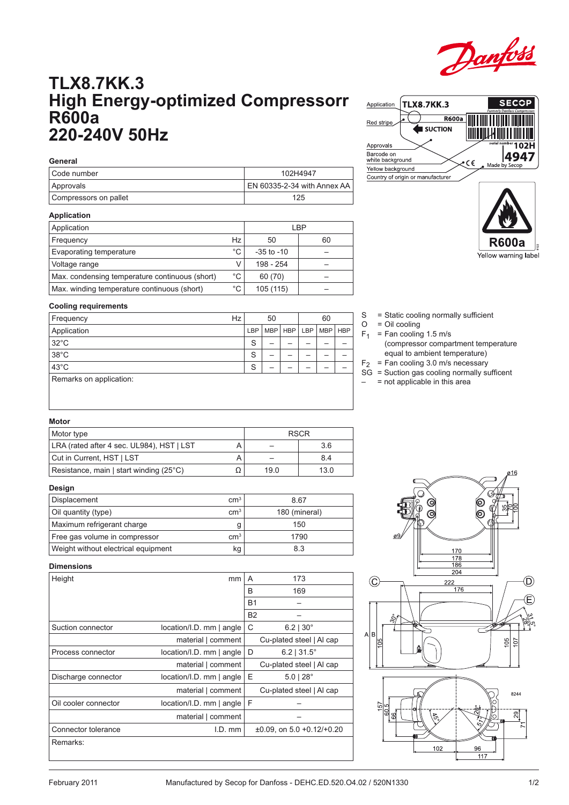

# **TLX8.7KK.3 High Energy-optimized Compressorr R600a 220-240V 50Hz**

| General               |                             |
|-----------------------|-----------------------------|
| l Code number         | 102H4947                    |
| Approvals             | EN 60335-2-34 with Annex AA |
| Compressors on pallet | 125                         |

# **Application**

| Application                                    | LBP |                |    |  |  |
|------------------------------------------------|-----|----------------|----|--|--|
| Frequency                                      | Hz  | 50             | 60 |  |  |
| Evaporating temperature                        | °C  | $-35$ to $-10$ |    |  |  |
| Voltage range                                  |     | 198 - 254      |    |  |  |
| Max. condensing temperature continuous (short) | °C  | 60 (70)        |    |  |  |
| Max. winding temperature continuous (short)    | °C  | 105 (115)      |    |  |  |



**TLX8.7KK.3** 



**SECOP** 

### **Cooling requirements**

| Frequency               | Hz |     | 50 |                 |  |            |            |
|-------------------------|----|-----|----|-----------------|--|------------|------------|
| Application             |    | LBP |    | MBP   HBP   LBP |  | <b>MBP</b> | <b>HBP</b> |
| $32^{\circ}$ C          |    | S   | –  |                 |  |            |            |
| $38^{\circ}$ C          |    | S   |    |                 |  |            |            |
| $43^{\circ}$ C          |    | S   |    |                 |  |            |            |
| Remarks on application: |    |     |    |                 |  |            |            |
|                         |    |     |    |                 |  |            |            |

- S = Static cooling normally sufficient
- $O = Oil$  cooling

Application

- $F_1$  = Fan cooling 1.5 m/s
	- (compressor compartment temperature equal to ambient temperature)
- $F_2$  = Fan cooling 3.0 m/s necessary
- SG = Suction gas cooling normally sufficent
- = not applicable in this area

## **Motor**

| Motor type                                | <b>RSCR</b> |      |      |  |  |
|-------------------------------------------|-------------|------|------|--|--|
| LRA (rated after 4 sec. UL984), HST   LST |             |      | 3.6  |  |  |
| Cut in Current, HST   LST                 |             |      | 8.4  |  |  |
| Resistance, main   start winding (25°C)   |             | 19.0 | 13.0 |  |  |

#### **Design**

| Displacement                        | cm <sup>3</sup> | 8.67          |
|-------------------------------------|-----------------|---------------|
| Oil quantity (type)                 | cm <sup>3</sup> | 180 (mineral) |
| Maximum refrigerant charge          |                 | 150           |
| Free gas volume in compressor       | cm <sup>3</sup> | 1790          |
| Weight without electrical equipment | kg              | 8.3           |

#### **Dimensions**

| Height               | mm                          | 173<br>A                        |
|----------------------|-----------------------------|---------------------------------|
|                      |                             | B<br>169                        |
|                      |                             | R <sub>1</sub>                  |
|                      |                             | <b>B2</b>                       |
| Suction connector    | location/I.D. mm   angle    | C<br>$6.2$   30 $^{\circ}$      |
|                      | material   comment          | Cu-plated steel   Al cap        |
| Process connector    | location/I.D. mm   angle    | D<br>$6.2$   31.5 $^{\circ}$    |
|                      | material   comment          | Cu-plated steel   Al cap        |
| Discharge connector  | location/I.D. mm   angle    | Ε<br>$5.0128^{\circ}$           |
|                      | material   comment          | Cu-plated steel   Al cap        |
| Oil cooler connector | $location/I.D.$ mm $ angle$ | F                               |
|                      | material   comment          |                                 |
| Connector tolerance  | $I.D.$ mm                   | $\pm 0.09$ , on 5.0 +0.12/+0.20 |
| Remarks:             |                             |                                 |
|                      |                             |                                 |